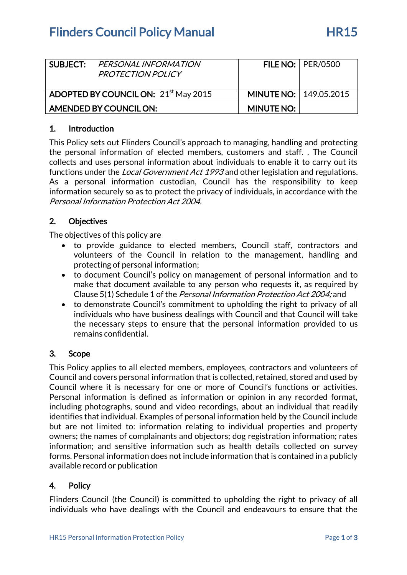# **Flinders Council Policy Manual FR15**

| SUBJECT:                                         | PERSONAL INFORMATION<br><b>PROTECTION POLICY</b> |                                 | FILE NO: $ $ PER/0500 |
|--------------------------------------------------|--------------------------------------------------|---------------------------------|-----------------------|
| ADOPTED BY COUNCIL ON: 21 <sup>st</sup> May 2015 |                                                  | <b>MINUTE NO:   149.05.2015</b> |                       |
| AMENDED BY COUNCIL ON:                           |                                                  | <b>MINUTE NO:</b>               |                       |

## 1. Introduction

This Policy sets out Flinders Council's approach to managing, handling and protecting the personal information of elected members, customers and staff. . The Council collects and uses personal information about individuals to enable it to carry out its functions under the *Local Government Act 1993* and other legislation and regulations. As a personal information custodian, Council has the responsibility to keep information securely so as to protect the privacy of individuals, in accordance with the Personal Information Protection Act 2004.

# 2. Objectives

The objectives of this policy are

- to provide guidance to elected members, Council staff, contractors and volunteers of the Council in relation to the management, handling and protecting of personal information;
- to document Council's policy on management of personal information and to make that document available to any person who requests it, as required by Clause 5(1) Schedule 1 of the Personal Information Protection Act 2004; and
- to demonstrate Council's commitment to upholding the right to privacy of all individuals who have business dealings with Council and that Council will take the necessary steps to ensure that the personal information provided to us remains confidential.

# 3. Scope

This Policy applies to all elected members, employees, contractors and volunteers of Council and covers personal information that is collected, retained, stored and used by Council where it is necessary for one or more of Council's functions or activities. Personal information is defined as information or opinion in any recorded format, including photographs, sound and video recordings, about an individual that readily identifies that individual. Examples of personal information held by the Council include but are not limited to: information relating to individual properties and property owners; the names of complainants and objectors; dog registration information; rates information; and sensitive information such as health details collected on survey forms. Personal information does not include information that is contained in a publicly available record or publication

# 4. Policy

Flinders Council (the Council) is committed to upholding the right to privacy of all individuals who have dealings with the Council and endeavours to ensure that the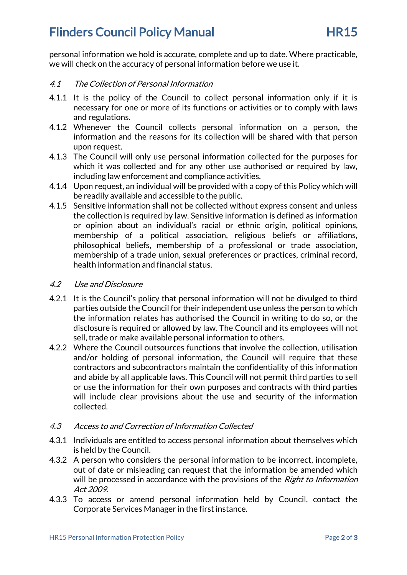# **Flinders Council Policy Manual FR15**

personal information we hold is accurate, complete and up to date. Where practicable, we will check on the accuracy of personal information before we use it.

## 4.1 The Collection of Personal Information

- 4.1.1 It is the policy of the Council to collect personal information only if it is necessary for one or more of its functions or activities or to comply with laws and regulations.
- 4.1.2 Whenever the Council collects personal information on a person, the information and the reasons for its collection will be shared with that person upon request.
- 4.1.3 The Council will only use personal information collected for the purposes for which it was collected and for any other use authorised or required by law, including law enforcement and compliance activities.
- 4.1.4 Upon request, an individual will be provided with a copy of this Policy which will be readily available and accessible to the public.
- 4.1.5 Sensitive information shall not be collected without express consent and unless the collection is required by law. Sensitive information is defined as information or opinion about an individual's racial or ethnic origin, political opinions, membership of a political association, religious beliefs or affiliations, philosophical beliefs, membership of a professional or trade association, membership of a trade union, sexual preferences or practices, criminal record, health information and financial status.

#### 4.2 Use and Disclosure

- 4.2.1 It is the Council's policy that personal information will not be divulged to third parties outside the Council for their independent use unless the person to which the information relates has authorised the Council in writing to do so, or the disclosure is required or allowed by law. The Council and its employees will not sell, trade or make available personal information to others.
- 4.2.2 Where the Council outsources functions that involve the collection, utilisation and/or holding of personal information, the Council will require that these contractors and subcontractors maintain the confidentiality of this information and abide by all applicable laws. This Council will not permit third parties to sell or use the information for their own purposes and contracts with third parties will include clear provisions about the use and security of the information collected.

## 4.3 Access to and Correction of Information Collected

- 4.3.1 Individuals are entitled to access personal information about themselves which is held by the Council.
- 4.3.2 A person who considers the personal information to be incorrect, incomplete, out of date or misleading can request that the information be amended which will be processed in accordance with the provisions of the *Right to Information* Act 2009.
- 4.3.3 To access or amend personal information held by Council, contact the Corporate Services Manager in the first instance.